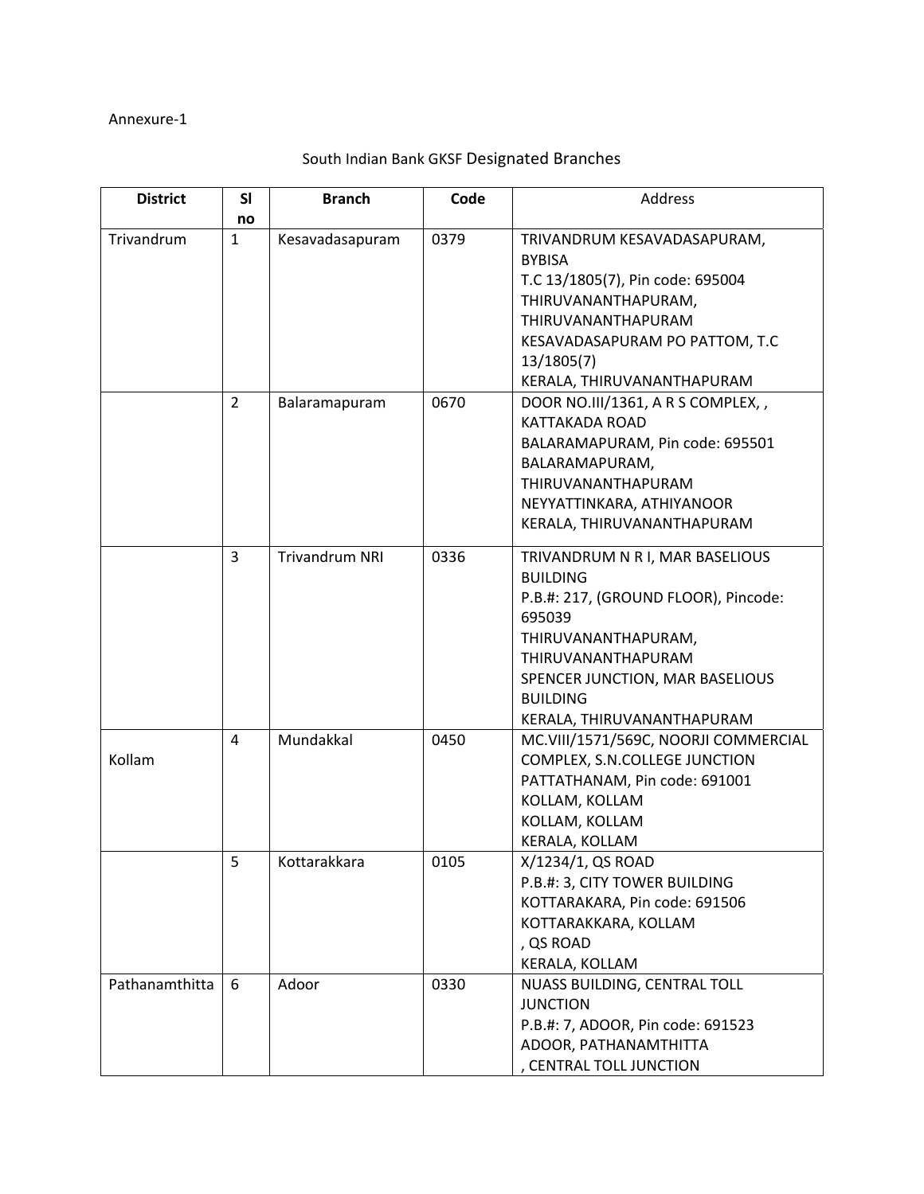## Annexure‐1

| <b>District</b> | SI<br>no       | <b>Branch</b>         | Code | Address                                                                                                                                                                                                                               |
|-----------------|----------------|-----------------------|------|---------------------------------------------------------------------------------------------------------------------------------------------------------------------------------------------------------------------------------------|
| Trivandrum      | $\mathbf{1}$   | Kesavadasapuram       | 0379 | TRIVANDRUM KESAVADASAPURAM,<br><b>BYBISA</b><br>T.C 13/1805(7), Pin code: 695004<br>THIRUVANANTHAPURAM,<br>THIRUVANANTHAPURAM<br>KESAVADASAPURAM PO PATTOM, T.C<br>13/1805(7)<br>KERALA, THIRUVANANTHAPURAM                           |
|                 | $\overline{2}$ | Balaramapuram         | 0670 | DOOR NO.III/1361, A R S COMPLEX, ,<br>KATTAKADA ROAD<br>BALARAMAPURAM, Pin code: 695501<br>BALARAMAPURAM,<br>THIRUVANANTHAPURAM<br>NEYYATTINKARA, ATHIYANOOR<br>KERALA, THIRUVANANTHAPURAM                                            |
|                 | 3              | <b>Trivandrum NRI</b> | 0336 | TRIVANDRUM N R I, MAR BASELIOUS<br><b>BUILDING</b><br>P.B.#: 217, (GROUND FLOOR), Pincode:<br>695039<br>THIRUVANANTHAPURAM,<br>THIRUVANANTHAPURAM<br>SPENCER JUNCTION, MAR BASELIOUS<br><b>BUILDING</b><br>KERALA, THIRUVANANTHAPURAM |
| Kollam          | 4              | Mundakkal             | 0450 | MC.VIII/1571/569C, NOORJI COMMERCIAL<br>COMPLEX, S.N.COLLEGE JUNCTION<br>PATTATHANAM, Pin code: 691001<br>KOLLAM, KOLLAM<br>KOLLAM, KOLLAM<br>KERALA, KOLLAM                                                                          |
|                 | 5              | Kottarakkara          | 0105 | X/1234/1, QS ROAD<br>P.B.#: 3, CITY TOWER BUILDING<br>KOTTARAKARA, Pin code: 691506<br>KOTTARAKKARA, KOLLAM<br>, QS ROAD<br>KERALA, KOLLAM                                                                                            |
| Pathanamthitta  | 6              | Adoor                 | 0330 | NUASS BUILDING, CENTRAL TOLL<br><b>JUNCTION</b><br>P.B.#: 7, ADOOR, Pin code: 691523<br>ADOOR, PATHANAMTHITTA<br>, CENTRAL TOLL JUNCTION                                                                                              |

## South Indian Bank GKSF Designated Branches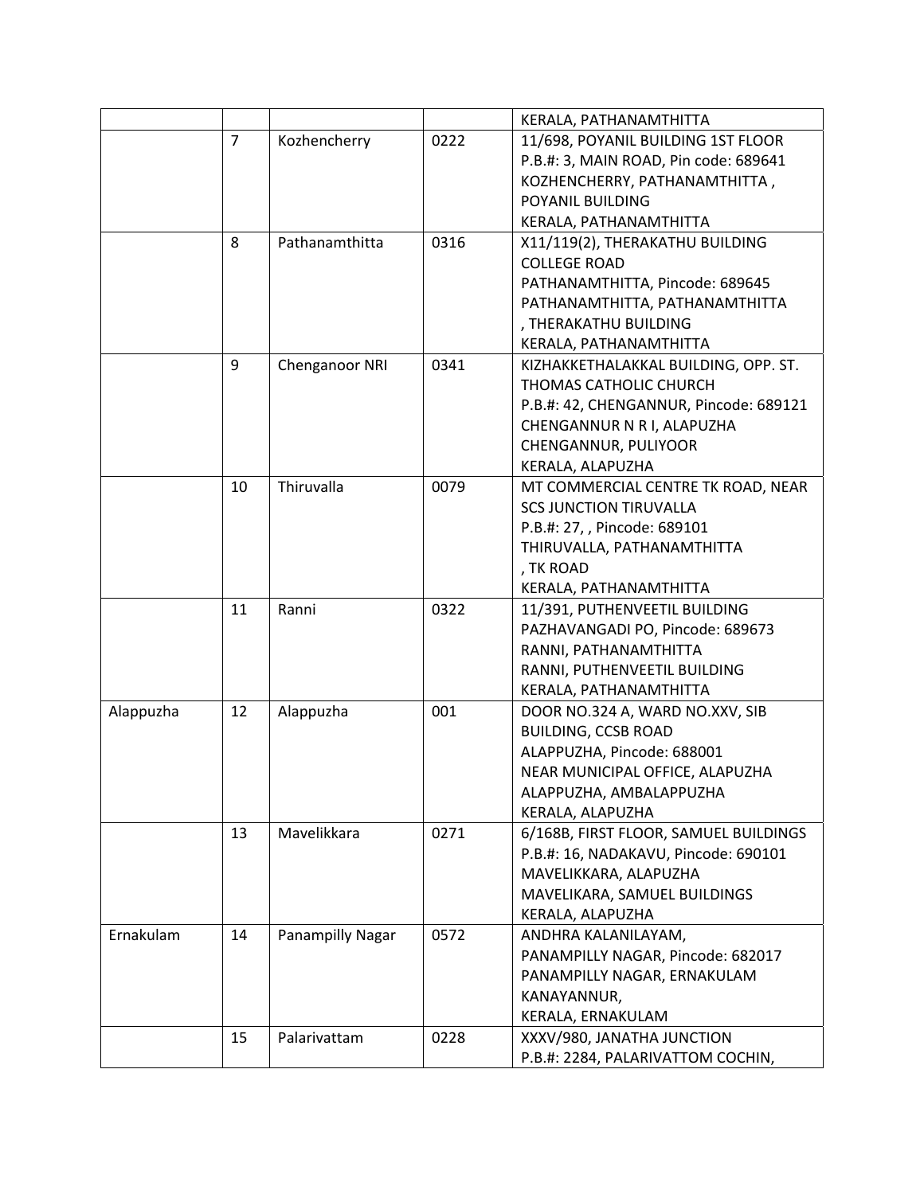|           |                |                  |      | KERALA, PATHANAMTHITTA                 |
|-----------|----------------|------------------|------|----------------------------------------|
|           | $\overline{7}$ | Kozhencherry     | 0222 | 11/698, POYANIL BUILDING 1ST FLOOR     |
|           |                |                  |      | P.B.#: 3, MAIN ROAD, Pin code: 689641  |
|           |                |                  |      | KOZHENCHERRY, PATHANAMTHITTA,          |
|           |                |                  |      | POYANIL BUILDING                       |
|           |                |                  |      | KERALA, PATHANAMTHITTA                 |
|           | 8              | Pathanamthitta   | 0316 | X11/119(2), THERAKATHU BUILDING        |
|           |                |                  |      | <b>COLLEGE ROAD</b>                    |
|           |                |                  |      | PATHANAMTHITTA, Pincode: 689645        |
|           |                |                  |      | PATHANAMTHITTA, PATHANAMTHITTA         |
|           |                |                  |      | , THERAKATHU BUILDING                  |
|           |                |                  |      | KERALA, PATHANAMTHITTA                 |
|           | 9              | Chenganoor NRI   | 0341 | KIZHAKKETHALAKKAL BUILDING, OPP. ST.   |
|           |                |                  |      | THOMAS CATHOLIC CHURCH                 |
|           |                |                  |      | P.B.#: 42, CHENGANNUR, Pincode: 689121 |
|           |                |                  |      | CHENGANNUR N R I, ALAPUZHA             |
|           |                |                  |      | CHENGANNUR, PULIYOOR                   |
|           |                |                  |      | KERALA, ALAPUZHA                       |
|           | 10             | Thiruvalla       | 0079 | MT COMMERCIAL CENTRE TK ROAD, NEAR     |
|           |                |                  |      | <b>SCS JUNCTION TIRUVALLA</b>          |
|           |                |                  |      | P.B.#: 27, , Pincode: 689101           |
|           |                |                  |      | THIRUVALLA, PATHANAMTHITTA             |
|           |                |                  |      | , TK ROAD                              |
|           |                |                  |      | KERALA, PATHANAMTHITTA                 |
|           | 11             | Ranni            | 0322 | 11/391, PUTHENVEETIL BUILDING          |
|           |                |                  |      | PAZHAVANGADI PO, Pincode: 689673       |
|           |                |                  |      | RANNI, PATHANAMTHITTA                  |
|           |                |                  |      | RANNI, PUTHENVEETIL BUILDING           |
|           |                |                  |      | KERALA, PATHANAMTHITTA                 |
| Alappuzha | 12             | Alappuzha        | 001  | DOOR NO.324 A, WARD NO.XXV, SIB        |
|           |                |                  |      | <b>BUILDING, CCSB ROAD</b>             |
|           |                |                  |      | ALAPPUZHA, Pincode: 688001             |
|           |                |                  |      | NEAR MUNICIPAL OFFICE, ALAPUZHA        |
|           |                |                  |      | ALAPPUZHA, AMBALAPPUZHA                |
|           |                |                  |      | KERALA, ALAPUZHA                       |
|           | 13             | Mavelikkara      | 0271 | 6/168B, FIRST FLOOR, SAMUEL BUILDINGS  |
|           |                |                  |      | P.B.#: 16, NADAKAVU, Pincode: 690101   |
|           |                |                  |      | MAVELIKKARA, ALAPUZHA                  |
|           |                |                  |      | MAVELIKARA, SAMUEL BUILDINGS           |
|           |                |                  |      | KERALA, ALAPUZHA                       |
| Ernakulam | 14             | Panampilly Nagar | 0572 | ANDHRA KALANILAYAM,                    |
|           |                |                  |      | PANAMPILLY NAGAR, Pincode: 682017      |
|           |                |                  |      | PANAMPILLY NAGAR, ERNAKULAM            |
|           |                |                  |      | KANAYANNUR,                            |
|           |                |                  |      | KERALA, ERNAKULAM                      |
|           | 15             | Palarivattam     | 0228 | XXXV/980, JANATHA JUNCTION             |
|           |                |                  |      | P.B.#: 2284, PALARIVATTOM COCHIN,      |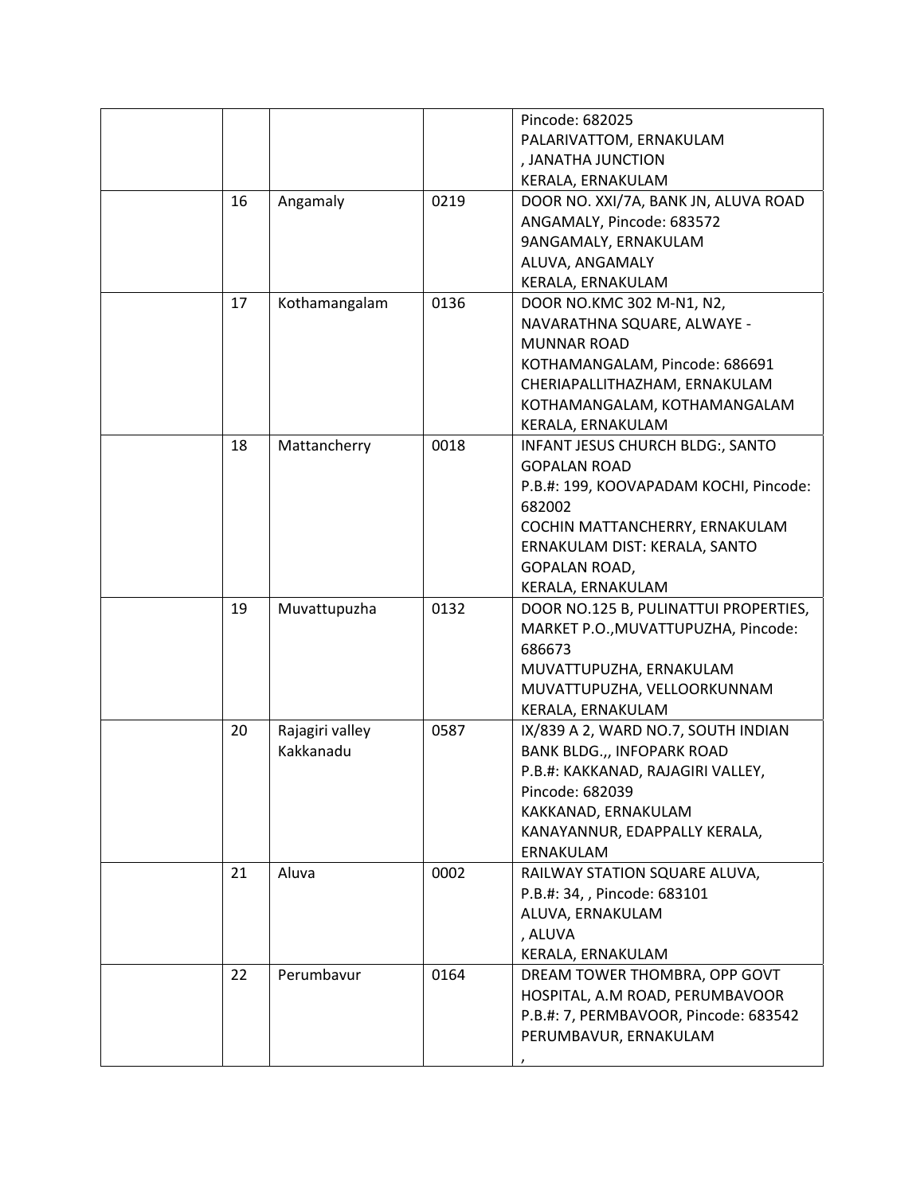|    |                 |      | Pincode: 682025                        |
|----|-----------------|------|----------------------------------------|
|    |                 |      | PALARIVATTOM, ERNAKULAM                |
|    |                 |      | , JANATHA JUNCTION                     |
|    |                 |      | KERALA, ERNAKULAM                      |
| 16 | Angamaly        | 0219 | DOOR NO. XXI/7A, BANK JN, ALUVA ROAD   |
|    |                 |      | ANGAMALY, Pincode: 683572              |
|    |                 |      | 9ANGAMALY, ERNAKULAM                   |
|    |                 |      | ALUVA, ANGAMALY                        |
|    |                 |      | KERALA, ERNAKULAM                      |
| 17 | Kothamangalam   | 0136 | DOOR NO.KMC 302 M-N1, N2,              |
|    |                 |      | NAVARATHNA SQUARE, ALWAYE -            |
|    |                 |      | <b>MUNNAR ROAD</b>                     |
|    |                 |      | KOTHAMANGALAM, Pincode: 686691         |
|    |                 |      | CHERIAPALLITHAZHAM, ERNAKULAM          |
|    |                 |      | KOTHAMANGALAM, KOTHAMANGALAM           |
|    |                 |      | KERALA, ERNAKULAM                      |
| 18 | Mattancherry    | 0018 | INFANT JESUS CHURCH BLDG:, SANTO       |
|    |                 |      | <b>GOPALAN ROAD</b>                    |
|    |                 |      | P.B.#: 199, KOOVAPADAM KOCHI, Pincode: |
|    |                 |      | 682002                                 |
|    |                 |      | COCHIN MATTANCHERRY, ERNAKULAM         |
|    |                 |      | ERNAKULAM DIST: KERALA, SANTO          |
|    |                 |      | GOPALAN ROAD,                          |
|    |                 |      | KERALA, ERNAKULAM                      |
| 19 | Muvattupuzha    | 0132 | DOOR NO.125 B, PULINATTUI PROPERTIES,  |
|    |                 |      | MARKET P.O., MUVATTUPUZHA, Pincode:    |
|    |                 |      | 686673                                 |
|    |                 |      | MUVATTUPUZHA, ERNAKULAM                |
|    |                 |      | MUVATTUPUZHA, VELLOORKUNNAM            |
|    |                 |      | KERALA, ERNAKULAM                      |
| 20 | Rajagiri valley | 0587 | IX/839 A 2, WARD NO.7, SOUTH INDIAN    |
|    | Kakkanadu       |      | <b>BANK BLDG.,, INFOPARK ROAD</b>      |
|    |                 |      | P.B.#: KAKKANAD, RAJAGIRI VALLEY,      |
|    |                 |      | Pincode: 682039                        |
|    |                 |      | KAKKANAD, ERNAKULAM                    |
|    |                 |      | KANAYANNUR, EDAPPALLY KERALA,          |
|    |                 |      | ERNAKULAM                              |
| 21 | Aluva           | 0002 | RAILWAY STATION SQUARE ALUVA,          |
|    |                 |      | P.B.#: 34, , Pincode: 683101           |
|    |                 |      | ALUVA, ERNAKULAM                       |
|    |                 |      | , ALUVA                                |
|    |                 |      | KERALA, ERNAKULAM                      |
| 22 | Perumbavur      | 0164 | DREAM TOWER THOMBRA, OPP GOVT          |
|    |                 |      | HOSPITAL, A.M ROAD, PERUMBAVOOR        |
|    |                 |      | P.B.#: 7, PERMBAVOOR, Pincode: 683542  |
|    |                 |      | PERUMBAVUR, ERNAKULAM                  |
|    |                 |      |                                        |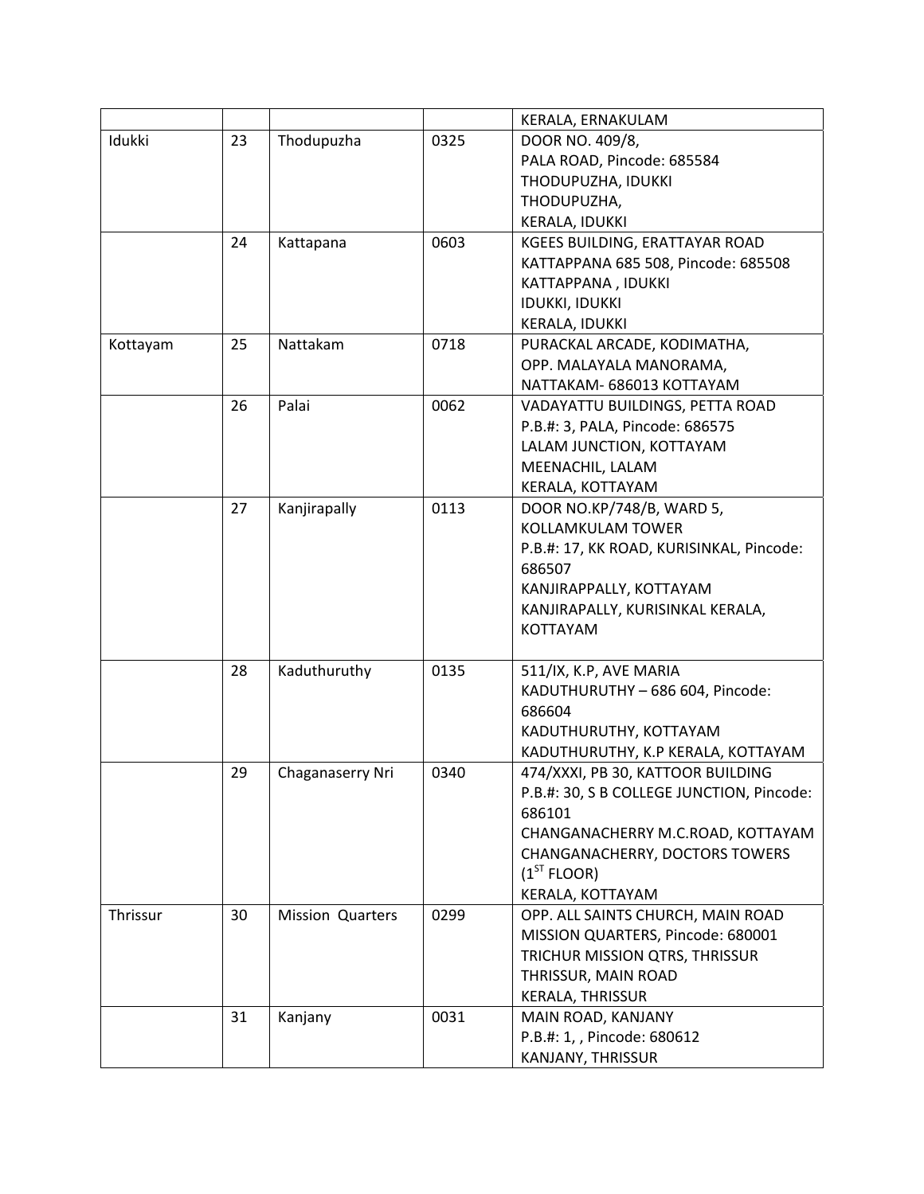|          |    |                         |      | KERALA, ERNAKULAM                         |
|----------|----|-------------------------|------|-------------------------------------------|
| Idukki   | 23 | Thodupuzha              | 0325 | DOOR NO. 409/8,                           |
|          |    |                         |      | PALA ROAD, Pincode: 685584                |
|          |    |                         |      | THODUPUZHA, IDUKKI                        |
|          |    |                         |      | THODUPUZHA,                               |
|          |    |                         |      | KERALA, IDUKKI                            |
|          | 24 | Kattapana               | 0603 | KGEES BUILDING, ERATTAYAR ROAD            |
|          |    |                         |      | KATTAPPANA 685 508, Pincode: 685508       |
|          |    |                         |      | KATTAPPANA, IDUKKI                        |
|          |    |                         |      | <b>IDUKKI, IDUKKI</b>                     |
|          |    |                         |      | KERALA, IDUKKI                            |
| Kottayam | 25 | Nattakam                | 0718 | PURACKAL ARCADE, KODIMATHA,               |
|          |    |                         |      | OPP. MALAYALA MANORAMA,                   |
|          |    |                         |      | NATTAKAM- 686013 KOTTAYAM                 |
|          | 26 | Palai                   | 0062 | VADAYATTU BUILDINGS, PETTA ROAD           |
|          |    |                         |      | P.B.#: 3, PALA, Pincode: 686575           |
|          |    |                         |      | LALAM JUNCTION, KOTTAYAM                  |
|          |    |                         |      | MEENACHIL, LALAM                          |
|          |    |                         |      | KERALA, KOTTAYAM                          |
|          | 27 | Kanjirapally            | 0113 | DOOR NO.KP/748/B, WARD 5,                 |
|          |    |                         |      | <b>KOLLAMKULAM TOWER</b>                  |
|          |    |                         |      | P.B.#: 17, KK ROAD, KURISINKAL, Pincode:  |
|          |    |                         |      | 686507                                    |
|          |    |                         |      | KANJIRAPPALLY, KOTTAYAM                   |
|          |    |                         |      | KANJIRAPALLY, KURISINKAL KERALA,          |
|          |    |                         |      | <b>KOTTAYAM</b>                           |
|          |    |                         |      |                                           |
|          | 28 | Kaduthuruthy            | 0135 | 511/IX, K.P, AVE MARIA                    |
|          |    |                         |      | KADUTHURUTHY - 686 604, Pincode:          |
|          |    |                         |      | 686604                                    |
|          |    |                         |      | KADUTHURUTHY, KOTTAYAM                    |
|          |    |                         |      | KADUTHURUTHY, K.P KERALA, KOTTAYAM        |
|          | 29 | Chaganaserry Nri        | 0340 | 474/XXXI, PB 30, KATTOOR BUILDING         |
|          |    |                         |      | P.B.#: 30, S B COLLEGE JUNCTION, Pincode: |
|          |    |                         |      | 686101                                    |
|          |    |                         |      | CHANGANACHERRY M.C.ROAD, KOTTAYAM         |
|          |    |                         |      | CHANGANACHERRY, DOCTORS TOWERS            |
|          |    |                         |      | (1 <sup>ST</sup> FLOOR)                   |
|          |    |                         |      | KERALA, KOTTAYAM                          |
| Thrissur | 30 | <b>Mission Quarters</b> | 0299 | OPP. ALL SAINTS CHURCH, MAIN ROAD         |
|          |    |                         |      | MISSION QUARTERS, Pincode: 680001         |
|          |    |                         |      | TRICHUR MISSION QTRS, THRISSUR            |
|          |    |                         |      | THRISSUR, MAIN ROAD                       |
|          |    |                         |      | KERALA, THRISSUR                          |
|          | 31 | Kanjany                 | 0031 | MAIN ROAD, KANJANY                        |
|          |    |                         |      | P.B.#: 1,, Pincode: 680612                |
|          |    |                         |      | KANJANY, THRISSUR                         |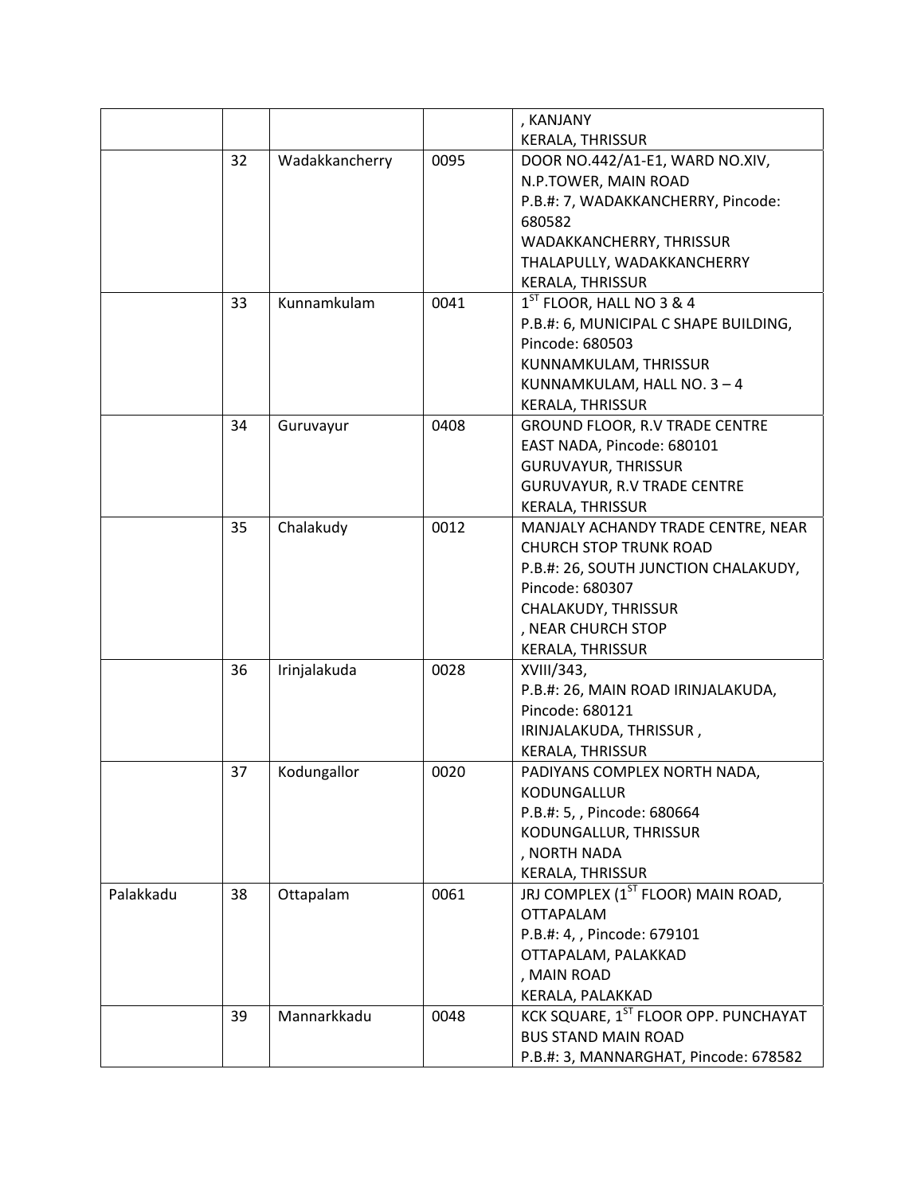|           |    |                |      | , KANJANY                                                          |
|-----------|----|----------------|------|--------------------------------------------------------------------|
|           |    |                |      | <b>KERALA, THRISSUR</b>                                            |
|           | 32 | Wadakkancherry | 0095 | DOOR NO.442/A1-E1, WARD NO.XIV,                                    |
|           |    |                |      | N.P.TOWER, MAIN ROAD                                               |
|           |    |                |      | P.B.#: 7, WADAKKANCHERRY, Pincode:                                 |
|           |    |                |      | 680582                                                             |
|           |    |                |      | WADAKKANCHERRY, THRISSUR                                           |
|           |    |                |      | THALAPULLY, WADAKKANCHERRY                                         |
|           |    |                |      | KERALA, THRISSUR                                                   |
|           | 33 | Kunnamkulam    | 0041 | 1 <sup>ST</sup> FLOOR, HALL NO 3 & 4                               |
|           |    |                |      | P.B.#: 6, MUNICIPAL C SHAPE BUILDING,                              |
|           |    |                |      | Pincode: 680503                                                    |
|           |    |                |      | KUNNAMKULAM, THRISSUR                                              |
|           |    |                |      | KUNNAMKULAM, HALL NO. 3 - 4                                        |
|           |    |                |      | KERALA, THRISSUR                                                   |
|           | 34 | Guruvayur      | 0408 | <b>GROUND FLOOR, R.V TRADE CENTRE</b>                              |
|           |    |                |      | EAST NADA, Pincode: 680101                                         |
|           |    |                |      | <b>GURUVAYUR, THRISSUR</b>                                         |
|           |    |                |      | <b>GURUVAYUR, R.V TRADE CENTRE</b>                                 |
|           |    |                |      | <b>KERALA, THRISSUR</b>                                            |
|           | 35 | Chalakudy      | 0012 | MANJALY ACHANDY TRADE CENTRE, NEAR                                 |
|           |    |                |      | <b>CHURCH STOP TRUNK ROAD</b>                                      |
|           |    |                |      | P.B.#: 26, SOUTH JUNCTION CHALAKUDY,                               |
|           |    |                |      | Pincode: 680307                                                    |
|           |    |                |      | CHALAKUDY, THRISSUR                                                |
|           |    |                |      | , NEAR CHURCH STOP                                                 |
|           |    |                |      | KERALA, THRISSUR                                                   |
|           | 36 | Irinjalakuda   | 0028 | XVIII/343,                                                         |
|           |    |                |      | P.B.#: 26, MAIN ROAD IRINJALAKUDA,                                 |
|           |    |                |      | Pincode: 680121                                                    |
|           |    |                |      | IRINJALAKUDA, THRISSUR,                                            |
|           |    |                |      | KERALA, THRISSUR                                                   |
|           | 37 | Kodungallor    | 0020 | PADIYANS COMPLEX NORTH NADA,                                       |
|           |    |                |      | <b>KODUNGALLUR</b>                                                 |
|           |    |                |      | P.B.#: 5,, Pincode: 680664                                         |
|           |    |                |      | KODUNGALLUR, THRISSUR                                              |
|           |    |                |      | , NORTH NADA                                                       |
|           |    |                |      | KERALA, THRISSUR                                                   |
| Palakkadu | 38 | Ottapalam      | 0061 | JRJ COMPLEX (1 <sup>ST</sup> FLOOR) MAIN ROAD,<br><b>OTTAPALAM</b> |
|           |    |                |      |                                                                    |
|           |    |                |      | P.B.#: 4,, Pincode: 679101                                         |
|           |    |                |      | OTTAPALAM, PALAKKAD                                                |
|           |    |                |      | , MAIN ROAD                                                        |
|           |    | Mannarkkadu    | 0048 | KERALA, PALAKKAD<br>KCK SQUARE, 1ST FLOOR OPP. PUNCHAYAT           |
|           | 39 |                |      | <b>BUS STAND MAIN ROAD</b>                                         |
|           |    |                |      |                                                                    |
|           |    |                |      | P.B.#: 3, MANNARGHAT, Pincode: 678582                              |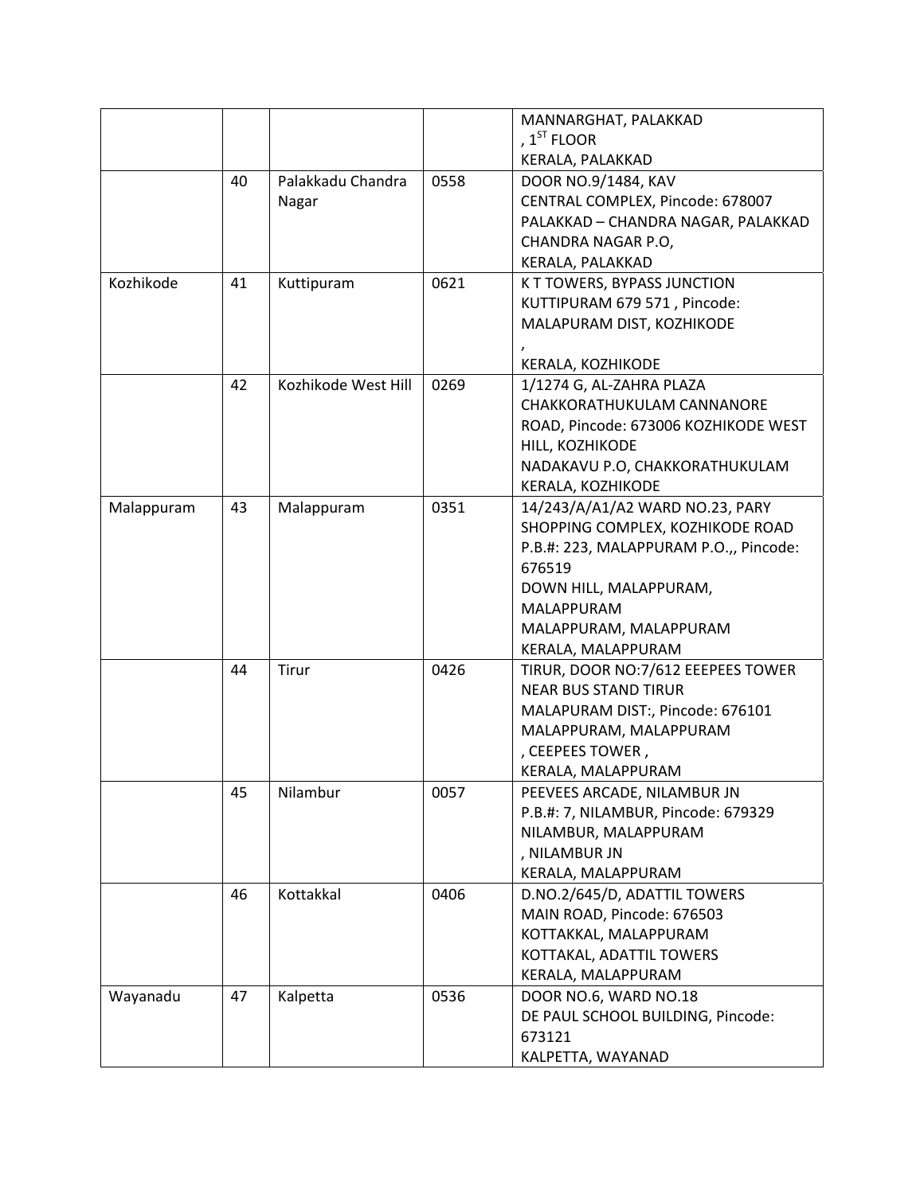|            |    |                     |      | MANNARGHAT, PALAKKAD                   |
|------------|----|---------------------|------|----------------------------------------|
|            |    |                     |      | , $1ST$ FLOOR                          |
|            |    |                     |      | KERALA, PALAKKAD                       |
|            | 40 | Palakkadu Chandra   | 0558 | DOOR NO.9/1484, KAV                    |
|            |    | Nagar               |      | CENTRAL COMPLEX, Pincode: 678007       |
|            |    |                     |      | PALAKKAD - CHANDRA NAGAR, PALAKKAD     |
|            |    |                     |      | CHANDRA NAGAR P.O,                     |
|            |    |                     |      | KERALA, PALAKKAD                       |
| Kozhikode  | 41 | Kuttipuram          | 0621 | K T TOWERS, BYPASS JUNCTION            |
|            |    |                     |      | KUTTIPURAM 679 571, Pincode:           |
|            |    |                     |      | MALAPURAM DIST, KOZHIKODE              |
|            |    |                     |      |                                        |
|            |    |                     |      | KERALA, KOZHIKODE                      |
|            | 42 | Kozhikode West Hill | 0269 | 1/1274 G, AL-ZAHRA PLAZA               |
|            |    |                     |      | CHAKKORATHUKULAM CANNANORE             |
|            |    |                     |      | ROAD, Pincode: 673006 KOZHIKODE WEST   |
|            |    |                     |      | HILL, KOZHIKODE                        |
|            |    |                     |      | NADAKAVU P.O, CHAKKORATHUKULAM         |
|            |    |                     |      | KERALA, KOZHIKODE                      |
| Malappuram | 43 | Malappuram          | 0351 | 14/243/A/A1/A2 WARD NO.23, PARY        |
|            |    |                     |      | SHOPPING COMPLEX, KOZHIKODE ROAD       |
|            |    |                     |      | P.B.#: 223, MALAPPURAM P.O.,, Pincode: |
|            |    |                     |      | 676519                                 |
|            |    |                     |      | DOWN HILL, MALAPPURAM,                 |
|            |    |                     |      | MALAPPURAM                             |
|            |    |                     |      | MALAPPURAM, MALAPPURAM                 |
|            |    |                     |      | KERALA, MALAPPURAM                     |
|            | 44 | Tirur               | 0426 | TIRUR, DOOR NO: 7/612 EEEPEES TOWER    |
|            |    |                     |      | <b>NEAR BUS STAND TIRUR</b>            |
|            |    |                     |      | MALAPURAM DIST:, Pincode: 676101       |
|            |    |                     |      | MALAPPURAM, MALAPPURAM                 |
|            |    |                     |      | , CEEPEES TOWER,                       |
|            |    |                     |      | KERALA, MALAPPURAM                     |
|            | 45 | Nilambur            | 0057 | PEEVEES ARCADE, NILAMBUR JN            |
|            |    |                     |      | P.B.#: 7, NILAMBUR, Pincode: 679329    |
|            |    |                     |      | NILAMBUR, MALAPPURAM                   |
|            |    |                     |      | , NILAMBUR JN                          |
|            |    |                     |      | KERALA, MALAPPURAM                     |
|            | 46 | Kottakkal           | 0406 | D.NO.2/645/D, ADATTIL TOWERS           |
|            |    |                     |      | MAIN ROAD, Pincode: 676503             |
|            |    |                     |      | KOTTAKKAL, MALAPPURAM                  |
|            |    |                     |      | KOTTAKAL, ADATTIL TOWERS               |
|            |    |                     |      | KERALA, MALAPPURAM                     |
| Wayanadu   | 47 | Kalpetta            | 0536 | DOOR NO.6, WARD NO.18                  |
|            |    |                     |      | DE PAUL SCHOOL BUILDING, Pincode:      |
|            |    |                     |      | 673121                                 |
|            |    |                     |      | KALPETTA, WAYANAD                      |